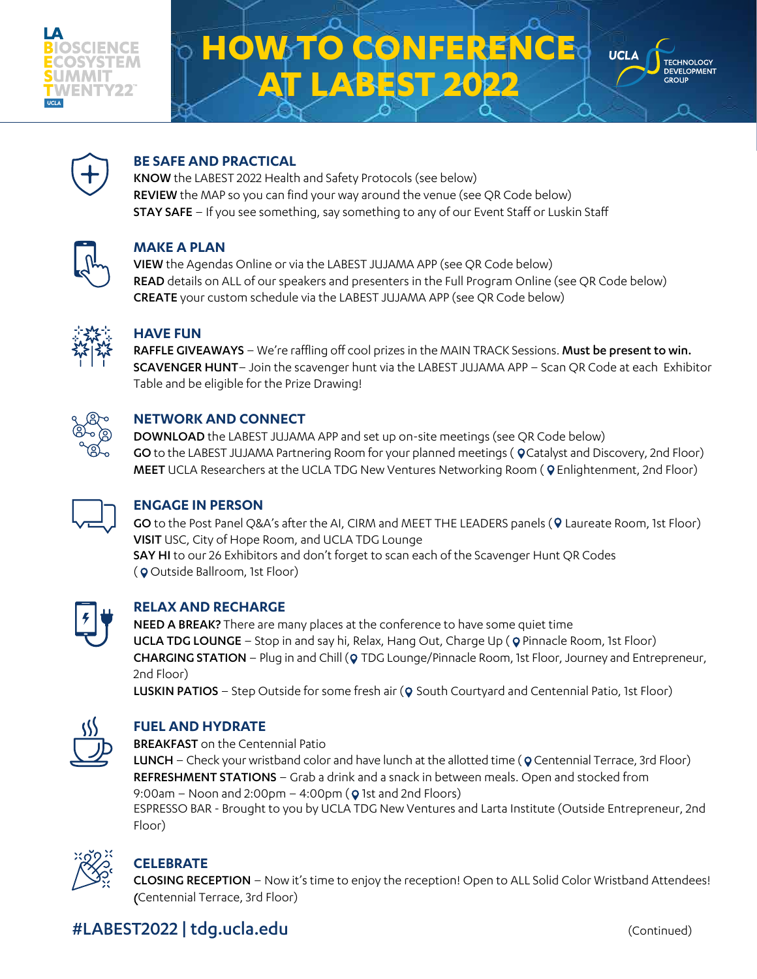

# **HOW TO CONFERENC ABEST 202**





#### **BE SAFE AND PRACTICAL**

KNOW the LABEST 2022 Health and Safety Protocols (see below) REVIEW the MAP so you can find your way around the venue (see QR Code below) STAY SAFE – If you see something, say something to any of our Event Staff or Luskin Staff



#### **MAKE A PLAN**

VIEW the Agendas Online or via the LABEST JUJAMA APP (see QR Code below) READ details on ALL of our speakers and presenters in the Full Program Online (see QR Code below) CREATE your custom schedule via the LABEST JUJAMA APP (see QR Code below)



#### **HAVE FUN**

RAFFLE GIVEAWAYS – We're raffling off cool prizes in the MAIN TRACK Sessions. Must be present to win. SCAVENGER HUNT– Join the scavenger hunt via the LABEST JUJAMA APP – Scan QR Code at each Exhibitor Table and be eligible for the Prize Drawing!



#### **NETWORK AND CONNECT**

DOWNLOAD the LABEST JUJAMA APP and set up on-site meetings (see QR Code below) GO to the LABEST JUJAMA Partnering Room for your planned meetings ( QCatalyst and Discovery, 2nd Floor) MEET UCLA Researchers at the UCLA TDG New Ventures Networking Room (Q Enlightenment, 2nd Floor)



#### **ENGAGE IN PERSON**

GO to the Post Panel Q&A's after the AI, CIRM and MEET THE LEADERS panels (9 Laureate Room, 1st Floor) VISIT USC, City of Hope Room, and UCLA TDG Lounge SAY HI to our 26 Exhibitors and don't forget to scan each of the Scavenger Hunt QR Codes (**Q** Outside Ballroom, 1st Floor)



#### **RELAX AND RECHARGE**

NEED A BREAK? There are many places at the conference to have some quiet time UCLA TDG LOUNGE – Stop in and say hi, Relax, Hang Out, Charge Up ( Q Pinnacle Room, 1st Floor) CHARGING STATION – Plug in and Chill (Q TDG Lounge/Pinnacle Room, 1st Floor, Journey and Entrepreneur, 2nd Floor)

LUSKIN PATIOS – Step Outside for some fresh air (Q South Courtyard and Centennial Patio, 1st Floor)



#### **FUEL AND HYDRATE**

BREAKFAST on the Centennial Patio

LUNCH - Check your wristband color and have lunch at the allotted time (Q Centennial Terrace, 3rd Floor) REFRESHMENT STATIONS - Grab a drink and a snack in between meals. Open and stocked from 9:00am – Noon and 2:00pm – 4:00pm ( $\Omega$  1st and 2nd Floors) ESPRESSO BAR - Brought to you by UCLA TDG New Ventures and Larta Institute (Outside Entrepreneur, 2nd Floor)



#### **CELEBRATE**

CLOSING RECEPTION – Now it's time to enjoy the reception! Open to ALL Solid Color Wristband Attendees! (Centennial Terrace, 3rd Floor)

### #LABEST2022 | [tdg.ucla.edu](http://tdg.ucla.edu) (Continued)